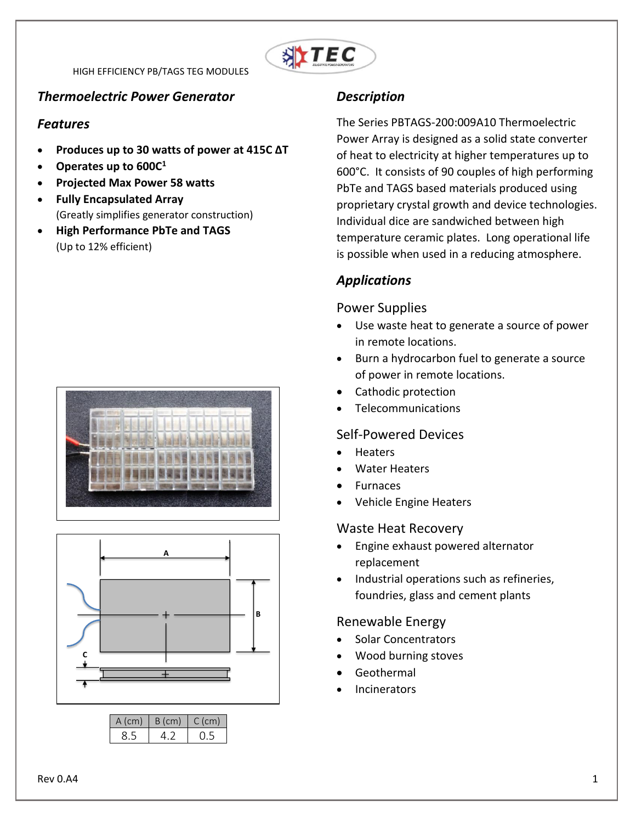

#### *Thermoelectric Power Generator*

#### *Features*

- **Produces up to 30 watts of power at 415C ΔT**
- **Operates up to 600C<sup>1</sup>**
- **Projected Max Power 58 watts**
- **Fully Encapsulated Array** (Greatly simplifies generator construction)
- **High Performance PbTe and TAGS** (Up to 12% efficient)





| A (cm) | B (cm) | $C$ (cm) |
|--------|--------|----------|
|        |        |          |

### *Description*

The Series PBTAGS-200:009A10 Thermoelectric Power Array is designed as a solid state converter of heat to electricity at higher temperatures up to 600°C. It consists of 90 couples of high performing PbTe and TAGS based materials produced using proprietary crystal growth and device technologies. Individual dice are sandwiched between high temperature ceramic plates. Long operational life is possible when used in a reducing atmosphere.

## *Applications*

#### Power Supplies

- Use waste heat to generate a source of power in remote locations.
- Burn a hydrocarbon fuel to generate a source of power in remote locations.
- Cathodic protection
- Telecommunications

#### Self-Powered Devices

- **Heaters**
- Water Heaters
- Furnaces
- Vehicle Engine Heaters

#### Waste Heat Recovery

- Engine exhaust powered alternator replacement
- Industrial operations such as refineries, foundries, glass and cement plants

#### Renewable Energy

- Solar Concentrators
- Wood burning stoves
- Geothermal
- Incinerators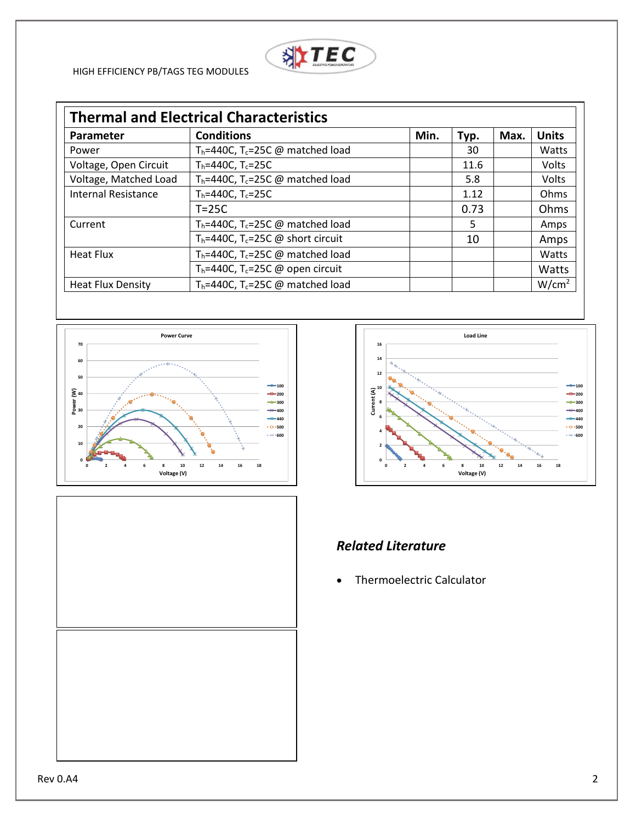

| <b>Thermal and Electrical Characteristics</b> |                                                          |      |      |      |                   |  |
|-----------------------------------------------|----------------------------------------------------------|------|------|------|-------------------|--|
| <b>Parameter</b>                              | <b>Conditions</b>                                        | Min. | Typ. | Max. | <b>Units</b>      |  |
| Power                                         | $T_h$ =440C, T <sub>c</sub> =25C @ matched load          |      | 30   |      | Watts             |  |
| Voltage, Open Circuit                         | $T_h = 440C$ , $T_c = 25C$                               |      | 11.6 |      | Volts             |  |
| Voltage, Matched Load                         | $T_h = 440C$ , T <sub>c</sub> =25C @ matched load        |      | 5.8  |      | Volts             |  |
| <b>Internal Resistance</b>                    | $T_h = 440C$ , $T_c = 25C$                               |      | 1.12 |      | Ohms              |  |
|                                               | $T = 25C$                                                |      | 0.73 |      | Ohms              |  |
| Current                                       | $T_h$ =440C, T <sub>c</sub> =25C @ matched load          |      | 5    |      | Amps              |  |
|                                               | $T_h$ =440C, T <sub>c</sub> =25C @ short circuit         |      | 10   |      | Amps              |  |
| <b>Heat Flux</b>                              | $T_h = 440C$ , $T_c = 25C$ @ matched load                |      |      |      | Watts             |  |
|                                               | T <sub>h</sub> =440C, T <sub>c</sub> =25C @ open circuit |      |      |      | Watts             |  |
| <b>Heat Flux Density</b>                      | $T_h = 440C$ , $T_c = 25C$ @ matched load                |      |      |      | W/cm <sup>2</sup> |  |







# *Related Literature*

Thermoelectric Calculator